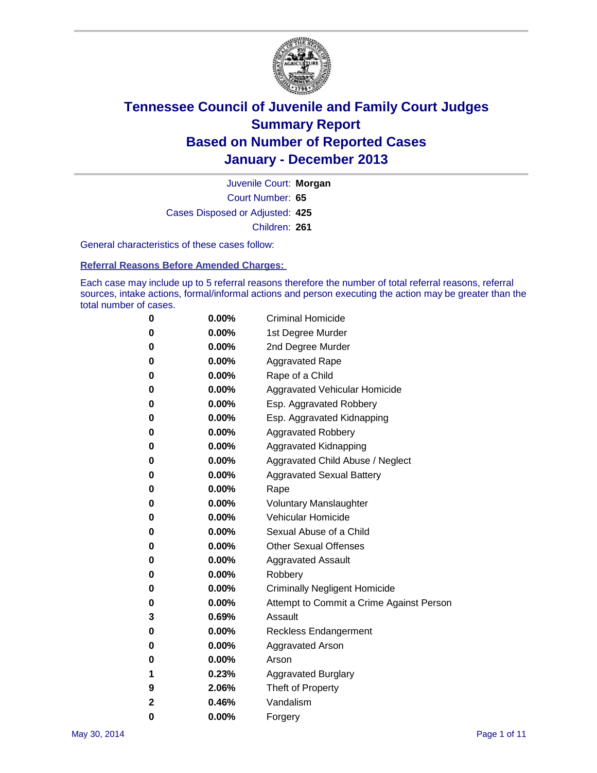

Court Number: **65** Juvenile Court: **Morgan** Cases Disposed or Adjusted: **425** Children: **261**

General characteristics of these cases follow:

**Referral Reasons Before Amended Charges:** 

Each case may include up to 5 referral reasons therefore the number of total referral reasons, referral sources, intake actions, formal/informal actions and person executing the action may be greater than the total number of cases.

| 0 | 0.00%    | <b>Criminal Homicide</b>                 |
|---|----------|------------------------------------------|
| 0 | 0.00%    | 1st Degree Murder                        |
| 0 | $0.00\%$ | 2nd Degree Murder                        |
| 0 | $0.00\%$ | <b>Aggravated Rape</b>                   |
| 0 | $0.00\%$ | Rape of a Child                          |
| 0 | 0.00%    | Aggravated Vehicular Homicide            |
| 0 | $0.00\%$ | Esp. Aggravated Robbery                  |
| 0 | $0.00\%$ | Esp. Aggravated Kidnapping               |
| 0 | $0.00\%$ | <b>Aggravated Robbery</b>                |
| 0 | $0.00\%$ | Aggravated Kidnapping                    |
| 0 | 0.00%    | Aggravated Child Abuse / Neglect         |
| 0 | $0.00\%$ | <b>Aggravated Sexual Battery</b>         |
| 0 | 0.00%    | Rape                                     |
| 0 | $0.00\%$ | <b>Voluntary Manslaughter</b>            |
| 0 | 0.00%    | Vehicular Homicide                       |
| 0 | $0.00\%$ | Sexual Abuse of a Child                  |
| 0 | $0.00\%$ | <b>Other Sexual Offenses</b>             |
| 0 | 0.00%    | <b>Aggravated Assault</b>                |
| 0 | 0.00%    | Robbery                                  |
| 0 | $0.00\%$ | <b>Criminally Negligent Homicide</b>     |
| 0 | $0.00\%$ | Attempt to Commit a Crime Against Person |
| 3 | 0.69%    | Assault                                  |
| 0 | $0.00\%$ | <b>Reckless Endangerment</b>             |
| 0 | 0.00%    | <b>Aggravated Arson</b>                  |
| 0 | $0.00\%$ | Arson                                    |
| 1 | 0.23%    | <b>Aggravated Burglary</b>               |
| 9 | 2.06%    | Theft of Property                        |
| 2 | 0.46%    | Vandalism                                |
| 0 | 0.00%    | Forgery                                  |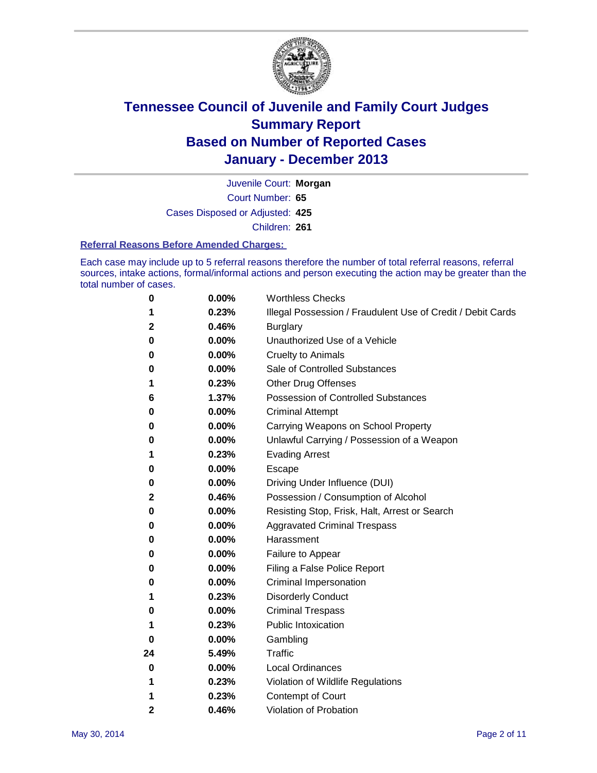

Court Number: **65** Juvenile Court: **Morgan** Cases Disposed or Adjusted: **425** Children: **261**

#### **Referral Reasons Before Amended Charges:**

Each case may include up to 5 referral reasons therefore the number of total referral reasons, referral sources, intake actions, formal/informal actions and person executing the action may be greater than the total number of cases.

| 0            | 0.00% | <b>Worthless Checks</b>                                     |
|--------------|-------|-------------------------------------------------------------|
| 1            | 0.23% | Illegal Possession / Fraudulent Use of Credit / Debit Cards |
| $\mathbf{2}$ | 0.46% | <b>Burglary</b>                                             |
| 0            | 0.00% | Unauthorized Use of a Vehicle                               |
| 0            | 0.00% | <b>Cruelty to Animals</b>                                   |
| 0            | 0.00% | Sale of Controlled Substances                               |
| 1            | 0.23% | <b>Other Drug Offenses</b>                                  |
| 6            | 1.37% | Possession of Controlled Substances                         |
| 0            | 0.00% | <b>Criminal Attempt</b>                                     |
| 0            | 0.00% | Carrying Weapons on School Property                         |
| 0            | 0.00% | Unlawful Carrying / Possession of a Weapon                  |
| 1            | 0.23% | <b>Evading Arrest</b>                                       |
| 0            | 0.00% | Escape                                                      |
| 0            | 0.00% | Driving Under Influence (DUI)                               |
| 2            | 0.46% | Possession / Consumption of Alcohol                         |
| 0            | 0.00% | Resisting Stop, Frisk, Halt, Arrest or Search               |
| 0            | 0.00% | <b>Aggravated Criminal Trespass</b>                         |
| 0            | 0.00% | Harassment                                                  |
| 0            | 0.00% | Failure to Appear                                           |
| 0            | 0.00% | Filing a False Police Report                                |
| 0            | 0.00% | Criminal Impersonation                                      |
| 1            | 0.23% | <b>Disorderly Conduct</b>                                   |
| 0            | 0.00% | <b>Criminal Trespass</b>                                    |
| 1            | 0.23% | <b>Public Intoxication</b>                                  |
| 0            | 0.00% | Gambling                                                    |
| 24           | 5.49% | Traffic                                                     |
| 0            | 0.00% | <b>Local Ordinances</b>                                     |
| 1            | 0.23% | Violation of Wildlife Regulations                           |
| 1            | 0.23% | <b>Contempt of Court</b>                                    |
| $\mathbf{2}$ | 0.46% | Violation of Probation                                      |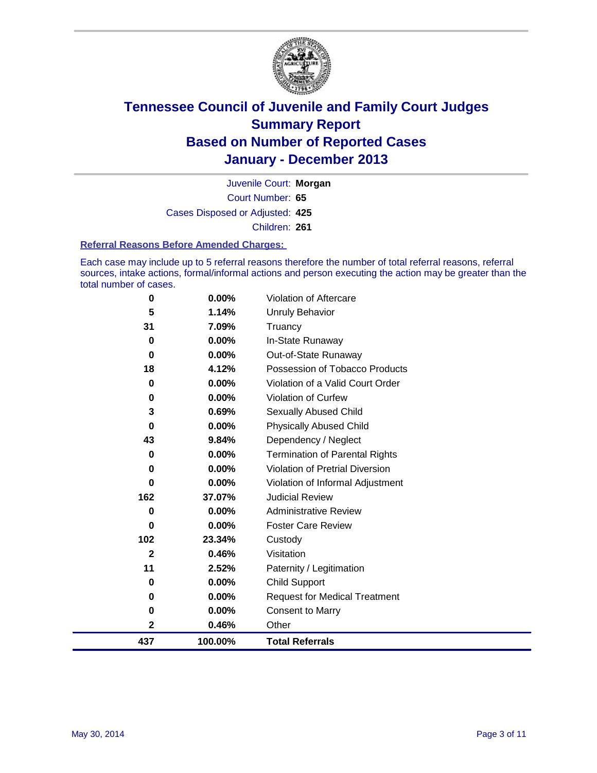

Court Number: **65** Juvenile Court: **Morgan** Cases Disposed or Adjusted: **425** Children: **261**

#### **Referral Reasons Before Amended Charges:**

Each case may include up to 5 referral reasons therefore the number of total referral reasons, referral sources, intake actions, formal/informal actions and person executing the action may be greater than the total number of cases.

| 0            | $0.00\%$ | Violation of Aftercare                 |
|--------------|----------|----------------------------------------|
| 5            | 1.14%    | Unruly Behavior                        |
| 31           | 7.09%    | Truancy                                |
| 0            | $0.00\%$ | In-State Runaway                       |
| 0            | $0.00\%$ | Out-of-State Runaway                   |
| 18           | 4.12%    | Possession of Tobacco Products         |
| 0            | 0.00%    | Violation of a Valid Court Order       |
| 0            | $0.00\%$ | <b>Violation of Curfew</b>             |
| 3            | 0.69%    | Sexually Abused Child                  |
| 0            | $0.00\%$ | <b>Physically Abused Child</b>         |
| 43           | 9.84%    | Dependency / Neglect                   |
| 0            | $0.00\%$ | <b>Termination of Parental Rights</b>  |
| 0            | 0.00%    | <b>Violation of Pretrial Diversion</b> |
| 0            | 0.00%    | Violation of Informal Adjustment       |
| 162          | 37.07%   | <b>Judicial Review</b>                 |
| 0            | $0.00\%$ | <b>Administrative Review</b>           |
| 0            | 0.00%    | <b>Foster Care Review</b>              |
| 102          | 23.34%   | Custody                                |
| $\mathbf{2}$ | 0.46%    | Visitation                             |
| 11           | 2.52%    | Paternity / Legitimation               |
| 0            | 0.00%    | <b>Child Support</b>                   |
| 0            | $0.00\%$ | <b>Request for Medical Treatment</b>   |
| 0            | $0.00\%$ | <b>Consent to Marry</b>                |
| 2            | 0.46%    | Other                                  |
| 437          | 100.00%  | <b>Total Referrals</b>                 |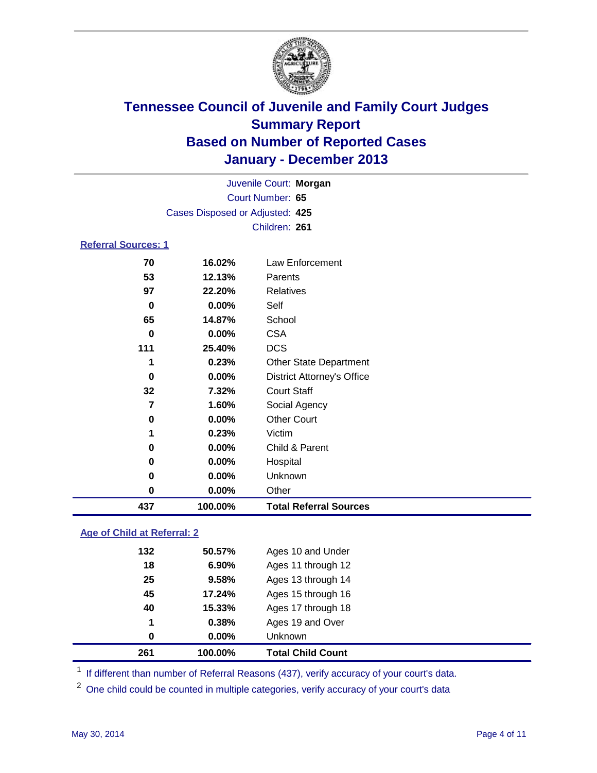

|                                 |          | Juvenile Court: Morgan            |  |  |
|---------------------------------|----------|-----------------------------------|--|--|
| Court Number: 65                |          |                                   |  |  |
| Cases Disposed or Adjusted: 425 |          |                                   |  |  |
|                                 |          | Children: 261                     |  |  |
| <b>Referral Sources: 1</b>      |          |                                   |  |  |
| 70                              | 16.02%   | Law Enforcement                   |  |  |
| 53                              | 12.13%   | Parents                           |  |  |
| 97                              | 22.20%   | <b>Relatives</b>                  |  |  |
| $\bf{0}$                        | 0.00%    | Self                              |  |  |
| 65                              | 14.87%   | School                            |  |  |
| 0                               | 0.00%    | <b>CSA</b>                        |  |  |
| 111                             | 25.40%   | <b>DCS</b>                        |  |  |
| 1                               | 0.23%    | Other State Department            |  |  |
| $\bf{0}$                        | 0.00%    | <b>District Attorney's Office</b> |  |  |
| 32                              | 7.32%    | <b>Court Staff</b>                |  |  |
| $\overline{7}$                  | 1.60%    | Social Agency                     |  |  |
| 0                               | 0.00%    | <b>Other Court</b>                |  |  |
| 1                               | 0.23%    | Victim                            |  |  |
| 0                               | 0.00%    | Child & Parent                    |  |  |
| 0                               | $0.00\%$ | Hospital                          |  |  |
| 0                               | $0.00\%$ | Unknown                           |  |  |
| 0                               | 0.00%    | Other                             |  |  |
| 437                             | 100.00%  | <b>Total Referral Sources</b>     |  |  |

### **Age of Child at Referral: 2**

| 261 | 100.00% | <b>Total Child Count</b> |
|-----|---------|--------------------------|
| 0   | 0.00%   | <b>Unknown</b>           |
| 1   | 0.38%   | Ages 19 and Over         |
| 40  | 15.33%  | Ages 17 through 18       |
| 45  | 17.24%  | Ages 15 through 16       |
| 25  | 9.58%   | Ages 13 through 14       |
| 18  | 6.90%   | Ages 11 through 12       |
| 132 | 50.57%  | Ages 10 and Under        |
|     |         |                          |

<sup>1</sup> If different than number of Referral Reasons (437), verify accuracy of your court's data.

<sup>2</sup> One child could be counted in multiple categories, verify accuracy of your court's data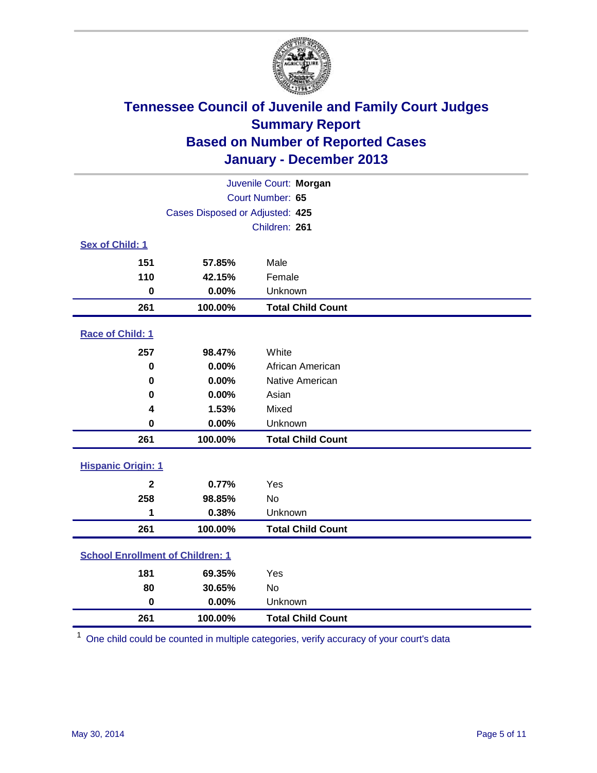

| Juvenile Court: Morgan                  |                                 |                          |  |  |  |
|-----------------------------------------|---------------------------------|--------------------------|--|--|--|
| Court Number: 65                        |                                 |                          |  |  |  |
|                                         | Cases Disposed or Adjusted: 425 |                          |  |  |  |
|                                         |                                 | Children: 261            |  |  |  |
| Sex of Child: 1                         |                                 |                          |  |  |  |
| 151                                     | 57.85%                          | Male                     |  |  |  |
| 110                                     | 42.15%                          | Female                   |  |  |  |
| $\bf{0}$                                | 0.00%                           | Unknown                  |  |  |  |
| 261                                     | 100.00%                         | <b>Total Child Count</b> |  |  |  |
| Race of Child: 1                        |                                 |                          |  |  |  |
| 257                                     | 98.47%                          | White                    |  |  |  |
| $\bf{0}$                                | 0.00%                           | African American         |  |  |  |
| $\bf{0}$                                | 0.00%                           | Native American          |  |  |  |
| 0                                       | 0.00%                           | Asian                    |  |  |  |
| 4                                       | 1.53%                           | Mixed                    |  |  |  |
| $\bf{0}$                                | 0.00%                           | Unknown                  |  |  |  |
| 261                                     | 100.00%                         | <b>Total Child Count</b> |  |  |  |
| <b>Hispanic Origin: 1</b>               |                                 |                          |  |  |  |
| $\boldsymbol{2}$                        | 0.77%                           | Yes                      |  |  |  |
| 258                                     | 98.85%                          | <b>No</b>                |  |  |  |
| 1                                       | 0.38%                           | Unknown                  |  |  |  |
| 261                                     | 100.00%                         | <b>Total Child Count</b> |  |  |  |
| <b>School Enrollment of Children: 1</b> |                                 |                          |  |  |  |
| 181                                     | 69.35%                          | Yes                      |  |  |  |
| 80                                      | 30.65%                          | <b>No</b>                |  |  |  |
| $\mathbf 0$                             | 0.00%                           | Unknown                  |  |  |  |
| 261                                     | 100.00%                         | <b>Total Child Count</b> |  |  |  |

One child could be counted in multiple categories, verify accuracy of your court's data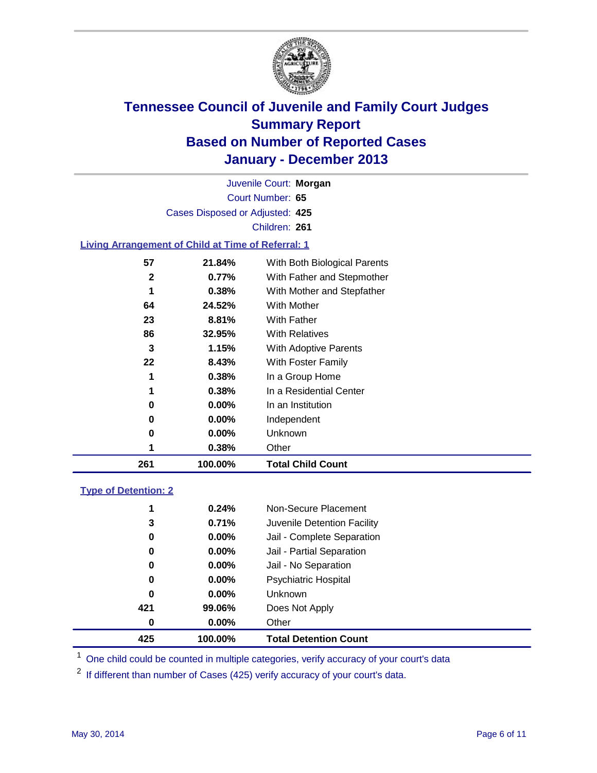

Court Number: **65** Juvenile Court: **Morgan** Cases Disposed or Adjusted: **425** Children: **261**

### **Living Arrangement of Child at Time of Referral: 1**

| 261 | 100.00%  | <b>Total Child Count</b>     |
|-----|----------|------------------------------|
| 1   | 0.38%    | Other                        |
| 0   | $0.00\%$ | Unknown                      |
| 0   | $0.00\%$ | Independent                  |
| 0   | $0.00\%$ | In an Institution            |
| 1   | 0.38%    | In a Residential Center      |
| 1   | 0.38%    | In a Group Home              |
| 22  | 8.43%    | With Foster Family           |
| 3   | 1.15%    | With Adoptive Parents        |
| 86  | 32.95%   | <b>With Relatives</b>        |
| 23  | 8.81%    | <b>With Father</b>           |
| 64  | 24.52%   | With Mother                  |
| 1   | 0.38%    | With Mother and Stepfather   |
| 2   | 0.77%    | With Father and Stepmother   |
| 57  | 21.84%   | With Both Biological Parents |
|     |          |                              |

#### **Type of Detention: 2**

| 425 | 100.00%  | <b>Total Detention Count</b> |  |
|-----|----------|------------------------------|--|
| 0   | 0.00%    | Other                        |  |
| 421 | 99.06%   | Does Not Apply               |  |
| 0   | $0.00\%$ | <b>Unknown</b>               |  |
| 0   | $0.00\%$ | <b>Psychiatric Hospital</b>  |  |
| 0   | 0.00%    | Jail - No Separation         |  |
| 0   | $0.00\%$ | Jail - Partial Separation    |  |
| 0   | 0.00%    | Jail - Complete Separation   |  |
| 3   | 0.71%    | Juvenile Detention Facility  |  |
| 1   | 0.24%    | Non-Secure Placement         |  |
|     |          |                              |  |

<sup>1</sup> One child could be counted in multiple categories, verify accuracy of your court's data

If different than number of Cases (425) verify accuracy of your court's data.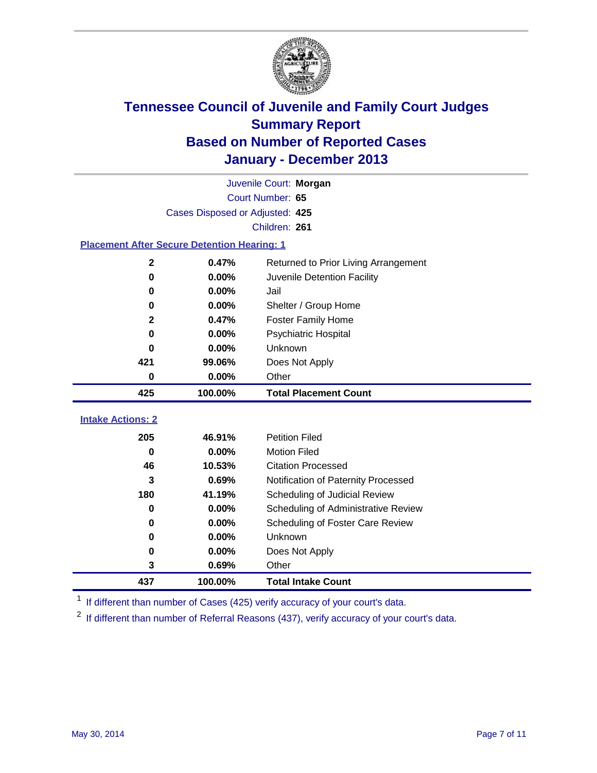

|                                                    |                                 | Juvenile Court: Morgan               |
|----------------------------------------------------|---------------------------------|--------------------------------------|
|                                                    |                                 | Court Number: 65                     |
|                                                    | Cases Disposed or Adjusted: 425 |                                      |
|                                                    |                                 | Children: 261                        |
| <b>Placement After Secure Detention Hearing: 1</b> |                                 |                                      |
| $\mathbf{2}$                                       | 0.47%                           | Returned to Prior Living Arrangement |
| $\bf{0}$                                           | 0.00%                           | Juvenile Detention Facility          |
| 0                                                  | 0.00%                           | Jail                                 |
| 0                                                  | 0.00%                           | Shelter / Group Home                 |
| 2                                                  | 0.47%                           | <b>Foster Family Home</b>            |
| $\bf{0}$                                           | 0.00%                           | <b>Psychiatric Hospital</b>          |
| 0                                                  | 0.00%                           | Unknown                              |
| 421                                                | 99.06%                          | Does Not Apply                       |
| 0                                                  | 0.00%                           | Other                                |
| 425                                                | 100.00%                         | <b>Total Placement Count</b>         |
| <b>Intake Actions: 2</b>                           |                                 |                                      |
|                                                    |                                 |                                      |
| 205                                                | 46.91%                          | <b>Petition Filed</b>                |
| $\bf{0}$                                           | 0.00%                           | <b>Motion Filed</b>                  |
| 46                                                 | 10.53%                          | <b>Citation Processed</b>            |
| 3                                                  | 0.69%                           | Notification of Paternity Processed  |
| 180                                                | 41.19%                          | Scheduling of Judicial Review        |
| $\bf{0}$                                           | 0.00%                           | Scheduling of Administrative Review  |
| 0                                                  | 0.00%                           | Scheduling of Foster Care Review     |
| 0                                                  | 0.00%                           | Unknown                              |
| 0                                                  | 0.00%                           | Does Not Apply                       |
| 3                                                  | 0.69%                           | Other                                |
| 437                                                | 100.00%                         | <b>Total Intake Count</b>            |

<sup>1</sup> If different than number of Cases (425) verify accuracy of your court's data.

If different than number of Referral Reasons (437), verify accuracy of your court's data.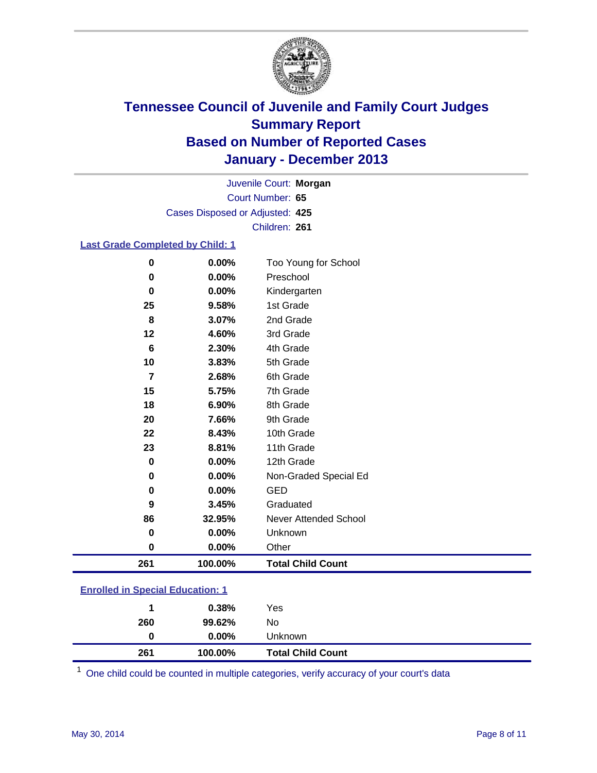

Court Number: **65** Juvenile Court: **Morgan** Cases Disposed or Adjusted: **425** Children: **261**

### **Last Grade Completed by Child: 1**

| 0   | 0.00%   | Too Young for School     |
|-----|---------|--------------------------|
| 0   | 0.00%   | Preschool                |
| 0   | 0.00%   | Kindergarten             |
| 25  | 9.58%   | 1st Grade                |
| 8   | 3.07%   | 2nd Grade                |
| 12  | 4.60%   | 3rd Grade                |
| 6   | 2.30%   | 4th Grade                |
| 10  | 3.83%   | 5th Grade                |
| 7   | 2.68%   | 6th Grade                |
| 15  | 5.75%   | 7th Grade                |
| 18  | 6.90%   | 8th Grade                |
| 20  | 7.66%   | 9th Grade                |
| 22  | 8.43%   | 10th Grade               |
| 23  | 8.81%   | 11th Grade               |
| 0   | 0.00%   | 12th Grade               |
| 0   | 0.00%   | Non-Graded Special Ed    |
| 0   | 0.00%   | <b>GED</b>               |
| 9   | 3.45%   | Graduated                |
| 86  | 32.95%  | Never Attended School    |
| 0   | 0.00%   | Unknown                  |
| 0   | 0.00%   | Other                    |
| 261 | 100.00% | <b>Total Child Count</b> |

| <b>Enrolled in Special Education: 1</b> |  |
|-----------------------------------------|--|
|-----------------------------------------|--|

| 261 | 100.00%  | <b>Total Child Count</b> |  |
|-----|----------|--------------------------|--|
| 0   | $0.00\%$ | Unknown                  |  |
| 260 | 99.62%   | No                       |  |
|     | 0.38%    | Yes                      |  |
|     |          |                          |  |

One child could be counted in multiple categories, verify accuracy of your court's data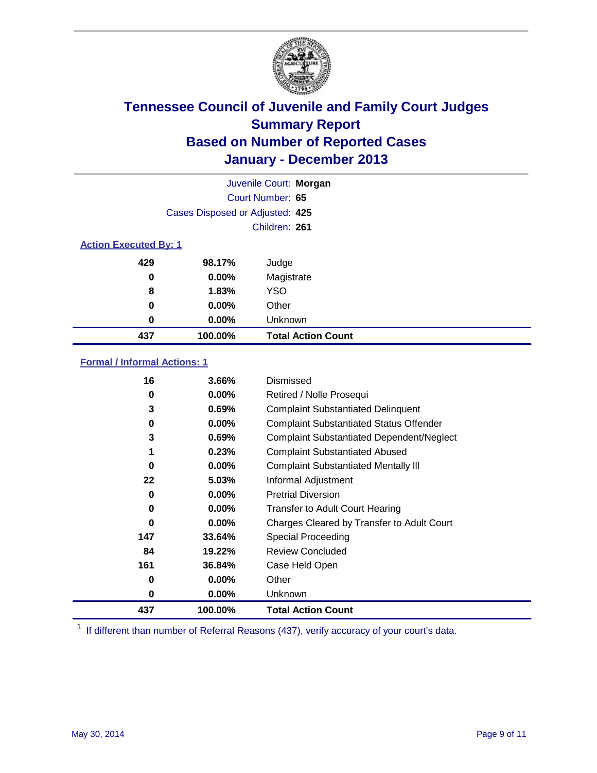

|                              |                                 | Juvenile Court: Morgan    |
|------------------------------|---------------------------------|---------------------------|
|                              |                                 | Court Number: 65          |
|                              | Cases Disposed or Adjusted: 425 |                           |
|                              |                                 | Children: 261             |
| <b>Action Executed By: 1</b> |                                 |                           |
| 429                          | 98.17%                          | Judge                     |
| 0                            | $0.00\%$                        | Magistrate                |
| 8                            | 1.83%                           | <b>YSO</b>                |
| 0                            | $0.00\%$                        | Other                     |
| 0                            | $0.00\%$                        | Unknown                   |
| 437                          | 100.00%                         | <b>Total Action Count</b> |

### **Formal / Informal Actions: 1**

| 16       | 3.66%    | Dismissed                                        |
|----------|----------|--------------------------------------------------|
| 0        | $0.00\%$ | Retired / Nolle Prosequi                         |
| 3        | 0.69%    | <b>Complaint Substantiated Delinquent</b>        |
| 0        | $0.00\%$ | <b>Complaint Substantiated Status Offender</b>   |
| 3        | 0.69%    | <b>Complaint Substantiated Dependent/Neglect</b> |
| 1        | 0.23%    | <b>Complaint Substantiated Abused</b>            |
| $\bf{0}$ | $0.00\%$ | <b>Complaint Substantiated Mentally III</b>      |
| 22       | 5.03%    | Informal Adjustment                              |
| 0        | $0.00\%$ | <b>Pretrial Diversion</b>                        |
| 0        | $0.00\%$ | <b>Transfer to Adult Court Hearing</b>           |
| 0        | $0.00\%$ | Charges Cleared by Transfer to Adult Court       |
| 147      | 33.64%   | Special Proceeding                               |
| 84       | 19.22%   | <b>Review Concluded</b>                          |
| 161      | 36.84%   | Case Held Open                                   |
| 0        | $0.00\%$ | Other                                            |
| 0        | $0.00\%$ | Unknown                                          |
| 437      | 100.00%  | <b>Total Action Count</b>                        |

<sup>1</sup> If different than number of Referral Reasons (437), verify accuracy of your court's data.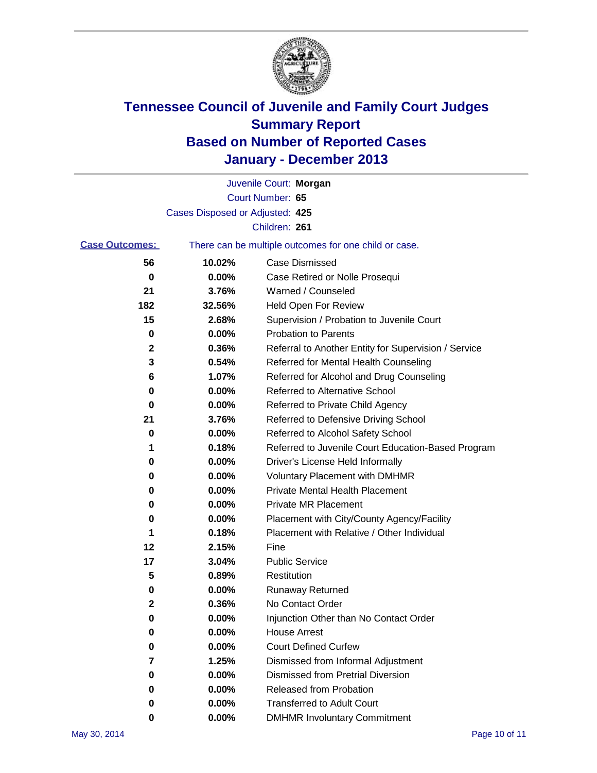

|        | Juvenile Court: Morgan                                |
|--------|-------------------------------------------------------|
|        | Court Number: 65                                      |
|        |                                                       |
|        | Children: 261                                         |
|        | There can be multiple outcomes for one child or case. |
| 10.02% | Case Dismissed                                        |
| 0.00%  | Case Retired or Nolle Prosequi                        |
| 3.76%  | Warned / Counseled                                    |
| 32.56% | Held Open For Review                                  |
| 2.68%  | Supervision / Probation to Juvenile Court             |
| 0.00%  | <b>Probation to Parents</b>                           |
| 0.36%  | Referral to Another Entity for Supervision / Service  |
| 0.54%  | Referred for Mental Health Counseling                 |
| 1.07%  | Referred for Alcohol and Drug Counseling              |
| 0.00%  | <b>Referred to Alternative School</b>                 |
| 0.00%  | Referred to Private Child Agency                      |
| 3.76%  | Referred to Defensive Driving School                  |
| 0.00%  | Referred to Alcohol Safety School                     |
| 0.18%  | Referred to Juvenile Court Education-Based Program    |
| 0.00%  | Driver's License Held Informally                      |
| 0.00%  | <b>Voluntary Placement with DMHMR</b>                 |
| 0.00%  | <b>Private Mental Health Placement</b>                |
| 0.00%  | <b>Private MR Placement</b>                           |
| 0.00%  | Placement with City/County Agency/Facility            |
| 0.18%  | Placement with Relative / Other Individual            |
| 2.15%  | Fine                                                  |
| 3.04%  | <b>Public Service</b>                                 |
| 0.89%  | Restitution                                           |
| 0.00%  | <b>Runaway Returned</b>                               |
| 0.36%  | No Contact Order                                      |
| 0.00%  | Injunction Other than No Contact Order                |
| 0.00%  | <b>House Arrest</b>                                   |
| 0.00%  | <b>Court Defined Curfew</b>                           |
| 1.25%  | Dismissed from Informal Adjustment                    |
| 0.00%  | <b>Dismissed from Pretrial Diversion</b>              |
| 0.00%  | <b>Released from Probation</b>                        |
| 0.00%  | <b>Transferred to Adult Court</b>                     |
| 0.00%  | <b>DMHMR Involuntary Commitment</b>                   |
|        | Cases Disposed or Adjusted: 425                       |